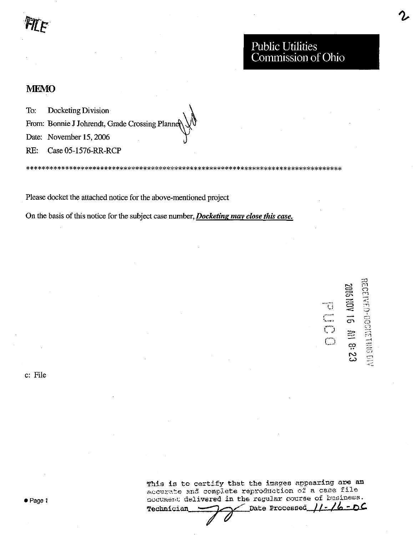## **MEMO**

To: Docketing Division

From: Bonnie J Johrendt, Grade Crossing Planne

Date: November 15, 2006

RE: Case 05-1576-RR-RCP

Please docket the attached notice for the above-mentioned project

On the basis of this notice for the subject case number, *Docketing may close this case*.

% , j o بيا **도** 9 O  $\sigma$   $\Phi$ 770<br>770 က္ ro CO

c: File

This is to certify that the images appearing are an accurate and complete reproduction of a case file accument delivered in the regular course of business.<br>mechnician  $\sum_{n=1}^{\infty}$  Date Processed  $\iint_{\mathcal{L}}$   $\iint_{\mathcal{L}}$ Technician – Date Processed //-